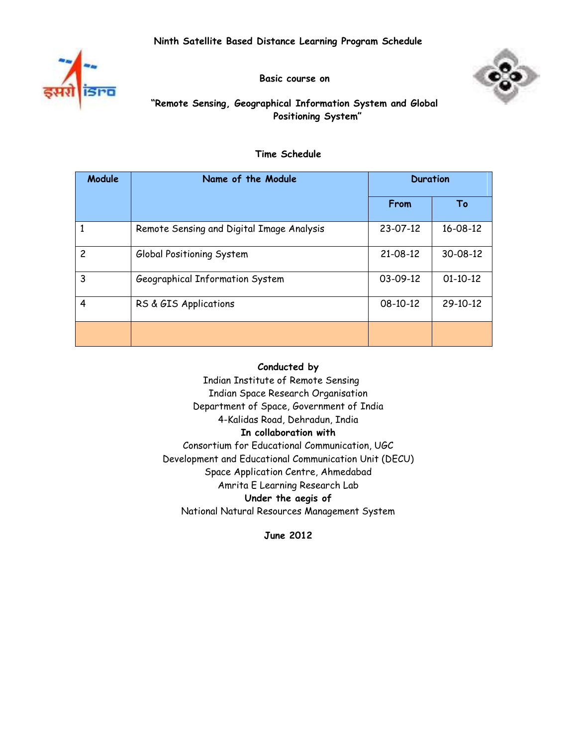



**Basic course on**

# **"Remote Sensing, Geographical Information System and Global Positioning System"**

## **Time Schedule**

| Module         | Name of the Module                        | <b>Duration</b> |                |
|----------------|-------------------------------------------|-----------------|----------------|
|                |                                           | From            | Т٥             |
| 1              | Remote Sensing and Digital Image Analysis | 23-07-12        | $16 - 08 - 12$ |
| $\overline{c}$ | Global Positioning System                 | 21-08-12        | $30 - 08 - 12$ |
| 3              | Geographical Information System           | 03-09-12        | $01-10-12$     |
| 4              | RS & GIS Applications                     | 08-10-12        | 29-10-12       |
|                |                                           |                 |                |

### **Conducted by**

 Indian Institute of Remote Sensing Indian Space Research Organisation Department of Space, Government of India 4-Kalidas Road, Dehradun, India **In collaboration with**  Consortium for Educational Communication, UGC Development and Educational Communication Unit (DECU) Space Application Centre, Ahmedabad Amrita E Learning Research Lab **Under the aegis of**  National Natural Resources Management System

**June 2012**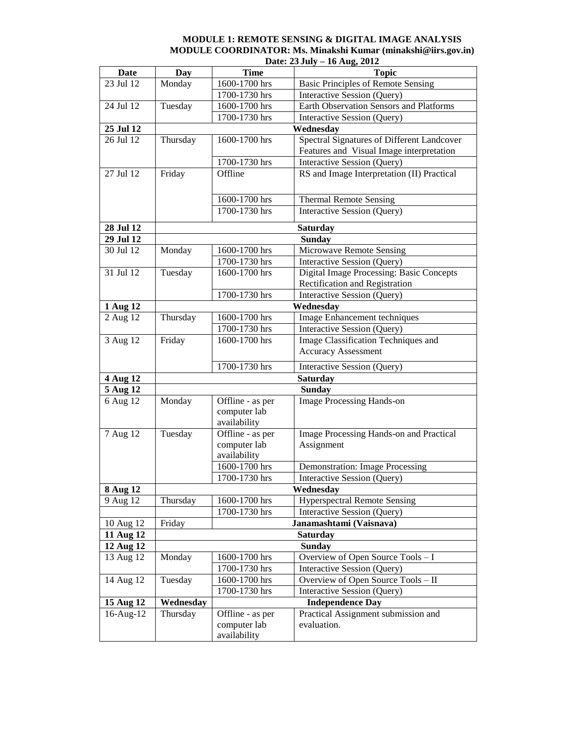#### **MODULE 1: REMOTE SENSING & DIGITAL IMAGE ANALYSIS MODULE COORDINATOR: Ms. Minakshi Kumar (minakshi@iirs.gov.in) Date: 23 July – 16 Aug, 2012**

| <b>Date</b>           | <b>Day</b>      | <b>Time</b>       | <b>Topic</b>                                                                      |
|-----------------------|-----------------|-------------------|-----------------------------------------------------------------------------------|
| 23 Jul 12             | Monday          | 1600-1700 hrs     | <b>Basic Principles of Remote Sensing</b>                                         |
|                       |                 | 1700-1730 hrs     | Interactive Session (Query)                                                       |
| 24 Jul 12             | Tuesday         | 1600-1700 hrs     | <b>Earth Observation Sensors and Platforms</b>                                    |
|                       |                 | $1700 - 1730$ hrs | Interactive Session (Query)                                                       |
| 25 Jul 12             |                 |                   | Wednesday                                                                         |
| 26 Jul 12             | Thursday        | 1600-1700 hrs     | Spectral Signatures of Different Landcover                                        |
|                       |                 |                   | Features and Visual Image interpretation                                          |
|                       |                 | 1700-1730 hrs     | Interactive Session (Query)                                                       |
| 27 Jul 12             | Friday          | Offline           | RS and Image Interpretation (II) Practical                                        |
|                       |                 | 1600-1700 hrs     | <b>Thermal Remote Sensing</b>                                                     |
|                       |                 | 1700-1730 hrs     | Interactive Session (Query)                                                       |
|                       |                 |                   |                                                                                   |
| 28 Jul 12             |                 |                   | <b>Saturday</b>                                                                   |
| 29 Jul 12             |                 |                   | <b>Sunday</b>                                                                     |
| 30 Jul 12             | Monday          | 1600-1700 hrs     | Microwave Remote Sensing                                                          |
|                       |                 | 1700-1730 hrs     | <b>Interactive Session (Query)</b>                                                |
| 31 Jul 12             | Tuesday         | 1600-1700 hrs     | <b>Digital Image Processing: Basic Concepts</b><br>Rectification and Registration |
|                       |                 | 1700-1730 hrs     | Interactive Session (Query)                                                       |
| 1 Aug 12              |                 |                   | Wednesday                                                                         |
| 2 Aug 12              | Thursday        | 1600-1700 hrs     | Image Enhancement techniques                                                      |
|                       |                 | 1700-1730 hrs     | Interactive Session (Query)                                                       |
| 3 Aug 12              | Friday          | 1600-1700 hrs     | Image Classification Techniques and                                               |
|                       |                 |                   | <b>Accuracy Assessment</b>                                                        |
|                       |                 | 1700-1730 hrs     |                                                                                   |
|                       |                 |                   | Interactive Session (Query)                                                       |
| 4 Aug 12<br>5 Aug 12  |                 |                   | <b>Saturday</b><br><b>Sunday</b>                                                  |
| 6 Aug 12              | Monday          | Offline - as per  | <b>Image Processing Hands-on</b>                                                  |
|                       |                 | computer lab      |                                                                                   |
|                       |                 | availability      |                                                                                   |
| 7 Aug 12              | Tuesday         | Offline - as per  | Image Processing Hands-on and Practical                                           |
|                       |                 | computer lab      | Assignment                                                                        |
|                       |                 | availability      |                                                                                   |
|                       |                 | 1600-1700 hrs     | <b>Demonstration: Image Processing</b>                                            |
|                       |                 | 1700-1730 hrs     | Interactive Session (Query)                                                       |
| $\overline{8}$ Aug 12 | Wednesday       |                   |                                                                                   |
| 9 Aug 12              | Thursday        | 1600-1700 hrs     | <b>Hyperspectral Remote Sensing</b>                                               |
|                       |                 | 1700-1730 hrs     | Interactive Session (Query)                                                       |
| 10 Aug 12             | Friday          |                   | Janamashtami (Vaisnava)                                                           |
| 11 Aug 12             | <b>Saturday</b> |                   |                                                                                   |
| 12 Aug 12             | <b>Sunday</b>   |                   |                                                                                   |
| 13 Aug 12             | Monday          | 1600-1700 hrs     | Overview of Open Source Tools - I                                                 |
|                       |                 | 1700-1730 hrs     | Interactive Session (Query)                                                       |
| 14 Aug 12             | Tuesday         | 1600-1700 hrs     | Overview of Open Source Tools - II                                                |
|                       |                 | 1700-1730 hrs     | Interactive Session (Query)                                                       |
| 15 Aug $12$           | Wednesday       |                   | <b>Independence Day</b>                                                           |
| 16-Aug-12             | Thursday        | Offline - as per  | Practical Assignment submission and                                               |
|                       |                 | computer lab      | evaluation.                                                                       |
|                       |                 | availability      |                                                                                   |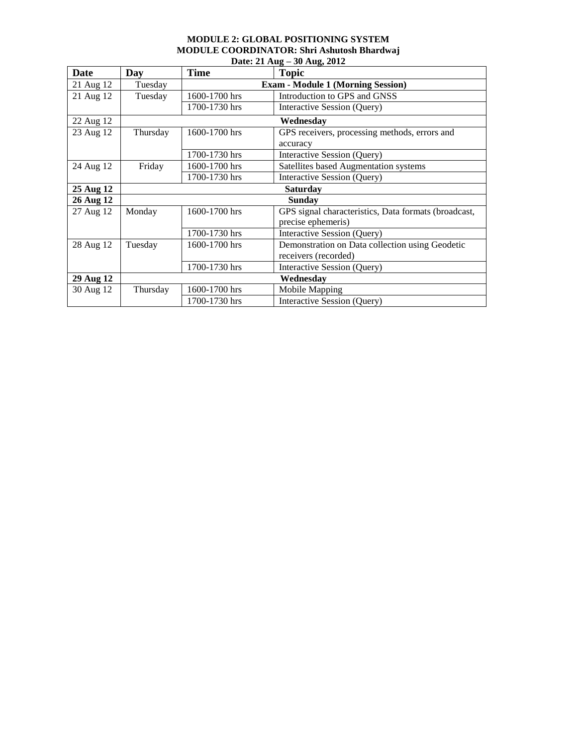#### **MODULE 2: GLOBAL POSITIONING SYSTEM MODULE COORDINATOR: Shri Ashutosh Bhardwaj Date: 21 Aug – 30 Aug, 2012**

| Date      | Day      | <b>Time</b>                              | - 01<br><b>Topic</b>                                 |  |
|-----------|----------|------------------------------------------|------------------------------------------------------|--|
| 21 Aug 12 | Tuesday  | <b>Exam - Module 1 (Morning Session)</b> |                                                      |  |
| 21 Aug 12 | Tuesday  | 1600-1700 hrs                            | Introduction to GPS and GNSS                         |  |
|           |          | 1700-1730 hrs                            | Interactive Session (Query)                          |  |
| 22 Aug 12 |          | Wednesday                                |                                                      |  |
| 23 Aug 12 | Thursday | 1600-1700 hrs                            | GPS receivers, processing methods, errors and        |  |
|           |          |                                          | accuracy                                             |  |
|           |          | 1700-1730 hrs                            | Interactive Session (Query)                          |  |
| 24 Aug 12 | Friday   | 1600-1700 hrs                            | Satellites based Augmentation systems                |  |
|           |          | 1700-1730 hrs                            | Interactive Session (Query)                          |  |
| 25 Aug 12 |          | <b>Saturday</b>                          |                                                      |  |
| 26 Aug 12 |          | <b>Sunday</b>                            |                                                      |  |
| 27 Aug 12 | Monday   | 1600-1700 hrs                            | GPS signal characteristics, Data formats (broadcast, |  |
|           |          |                                          | precise ephemeris)                                   |  |
|           |          | 1700-1730 hrs                            | Interactive Session (Query)                          |  |
| 28 Aug 12 | Tuesday  | 1600-1700 hrs                            | Demonstration on Data collection using Geodetic      |  |
|           |          |                                          | receivers (recorded)                                 |  |
|           |          | 1700-1730 hrs                            | Interactive Session (Query)                          |  |
| 29 Aug 12 |          | Wednesday                                |                                                      |  |
| 30 Aug 12 | Thursday | 1600-1700 hrs                            | Mobile Mapping                                       |  |
|           |          | 1700-1730 hrs                            | Interactive Session (Query)                          |  |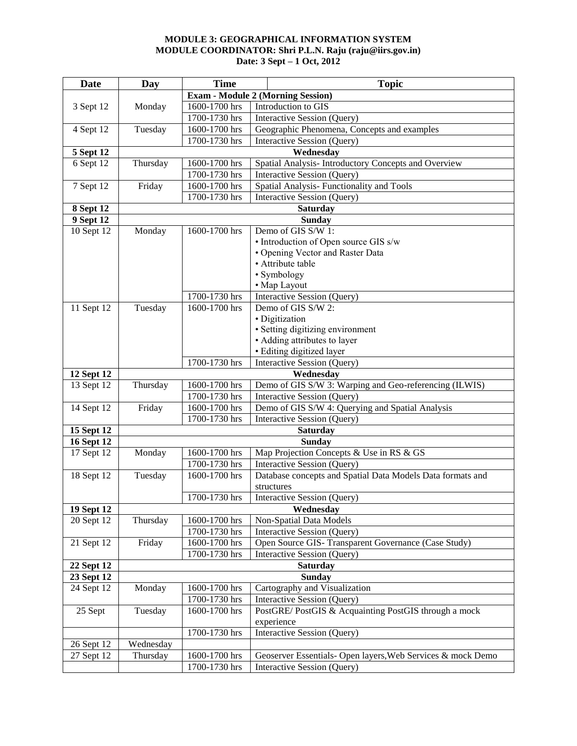#### **MODULE 3: GEOGRAPHICAL INFORMATION SYSTEM MODULE COORDINATOR: Shri P.L.N. Raju (raju@iirs.gov.in) Date: 3 Sept – 1 Oct, 2012**

| <b>Date</b>                     | Day                                      | <b>Time</b>                                  | <b>Topic</b>                                                |  |
|---------------------------------|------------------------------------------|----------------------------------------------|-------------------------------------------------------------|--|
|                                 | <b>Exam - Module 2 (Morning Session)</b> |                                              |                                                             |  |
| 3 Sept 12                       | Monday                                   | 1600-1700 hrs                                | Introduction to GIS                                         |  |
|                                 |                                          | 1700-1730 hrs                                | Interactive Session (Query)                                 |  |
| 4 Sept 12                       | Tuesday                                  | 1600-1700 hrs                                | Geographic Phenomena, Concepts and examples                 |  |
|                                 |                                          | 1700-1730 hrs                                | Interactive Session (Query)                                 |  |
| 5 Sept 12                       |                                          |                                              | Wednesday                                                   |  |
| 6 Sept 12                       | Thursday                                 | 1600-1700 hrs                                | Spatial Analysis- Introductory Concepts and Overview        |  |
|                                 |                                          | 1700-1730 hrs                                | <b>Interactive Session (Query)</b>                          |  |
| 7 Sept 12                       | Friday                                   | 1600-1700 hrs                                | Spatial Analysis-Functionality and Tools                    |  |
|                                 |                                          | 1700-1730 hrs                                | Interactive Session (Query)                                 |  |
| <b>8 Sept 12</b>                |                                          |                                              | <b>Saturday</b>                                             |  |
| 9 Sept 12                       |                                          | <b>Sunday</b>                                |                                                             |  |
| 10 Sept 12                      | Monday                                   | 1600-1700 hrs                                | Demo of GIS S/W 1:                                          |  |
|                                 |                                          |                                              | • Introduction of Open source GIS s/w                       |  |
|                                 |                                          |                                              | • Opening Vector and Raster Data                            |  |
|                                 |                                          |                                              | • Attribute table                                           |  |
|                                 |                                          |                                              | • Symbology                                                 |  |
|                                 |                                          |                                              | • Map Layout                                                |  |
|                                 |                                          | 1700-1730 hrs                                | <b>Interactive Session (Query)</b>                          |  |
| 11 Sept 12                      | Tuesday                                  | 1600-1700 hrs                                | Demo of GIS S/W 2:                                          |  |
|                                 |                                          |                                              | · Digitization                                              |  |
|                                 |                                          |                                              | · Setting digitizing environment                            |  |
|                                 |                                          |                                              | • Adding attributes to layer                                |  |
|                                 |                                          |                                              | · Editing digitized layer                                   |  |
|                                 |                                          | 1700-1730 hrs<br>Interactive Session (Query) |                                                             |  |
| 12 Sept 12                      |                                          |                                              | Wednesday                                                   |  |
| 13 Sept 12                      | Thursday                                 | 1600-1700 hrs                                | Demo of GIS S/W 3: Warping and Geo-referencing (ILWIS)      |  |
|                                 |                                          | 1700-1730 hrs                                | Interactive Session (Query)                                 |  |
| 14 Sept 12                      | Friday                                   | 1600-1700 hrs                                | Demo of GIS S/W 4: Querying and Spatial Analysis            |  |
|                                 |                                          | 1700-1730 hrs                                | Interactive Session (Query)                                 |  |
| 15 Sept 12                      |                                          | <b>Saturday</b>                              |                                                             |  |
| <b>16 Sept 12</b><br>17 Sept 12 | Monday                                   | 1600-1700 hrs                                | <b>Sunday</b><br>Map Projection Concepts & Use in RS & GS   |  |
|                                 |                                          | 1700-1730 hrs                                | Interactive Session (Query)                                 |  |
| 18 Sept 12                      | Tuesday                                  | 1600-1700 hrs                                | Database concepts and Spatial Data Models Data formats and  |  |
|                                 |                                          |                                              | structures                                                  |  |
|                                 |                                          | 1700-1730 hrs                                | <b>Interactive Session (Query)</b>                          |  |
| 19 Sept 12                      | Wednesday                                |                                              |                                                             |  |
| $\overline{20}$ Sept 12         | Thursday                                 | 1600-1700 hrs                                | Non-Spatial Data Models                                     |  |
|                                 |                                          | 1700-1730 hrs                                | Interactive Session (Query)                                 |  |
| 21 Sept 12                      | Friday                                   | 1600-1700 hrs                                | Open Source GIS- Transparent Governance (Case Study)        |  |
|                                 |                                          | 1700-1730 hrs                                | Interactive Session (Query)                                 |  |
| 22 Sept 12                      |                                          |                                              | <b>Saturday</b>                                             |  |
| 23 Sept 12                      | <b>Sunday</b>                            |                                              |                                                             |  |
| 24 Sept 12                      | Monday                                   | 1600-1700 hrs                                | Cartography and Visualization                               |  |
|                                 |                                          | 1700-1730 hrs                                | Interactive Session (Query)                                 |  |
| 25 Sept                         | Tuesday                                  | 1600-1700 hrs                                | PostGRE/PostGIS & Acquainting PostGIS through a mock        |  |
|                                 |                                          |                                              | experience                                                  |  |
|                                 |                                          | 1700-1730 hrs                                | Interactive Session (Query)                                 |  |
| 26 Sept 12                      | Wednesday                                |                                              |                                                             |  |
| 27 Sept 12                      | Thursday                                 | 1600-1700 hrs                                | Geoserver Essentials- Open layers, Web Services & mock Demo |  |
|                                 |                                          | 1700-1730 hrs                                | Interactive Session (Query)                                 |  |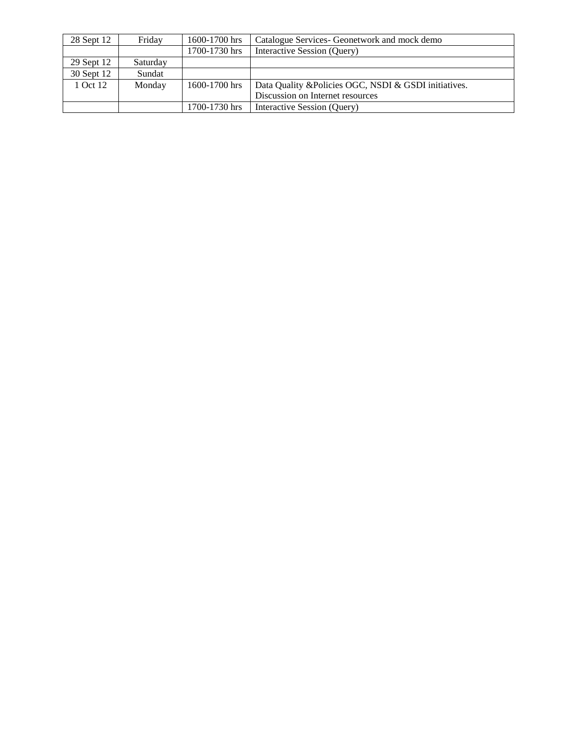| 28 Sept 12 | Friday   | 1600-1700 hrs | Catalogue Services- Geonetwork and mock demo          |
|------------|----------|---------------|-------------------------------------------------------|
|            |          | 1700-1730 hrs | Interactive Session (Query)                           |
| 29 Sept 12 | Saturday |               |                                                       |
| 30 Sept 12 | Sundat   |               |                                                       |
| 1 Oct 12   | Monday   | 1600-1700 hrs | Data Quality & Policies OGC, NSDI & GSDI initiatives. |
|            |          |               | Discussion on Internet resources                      |
|            |          | 1700-1730 hrs | Interactive Session (Query)                           |